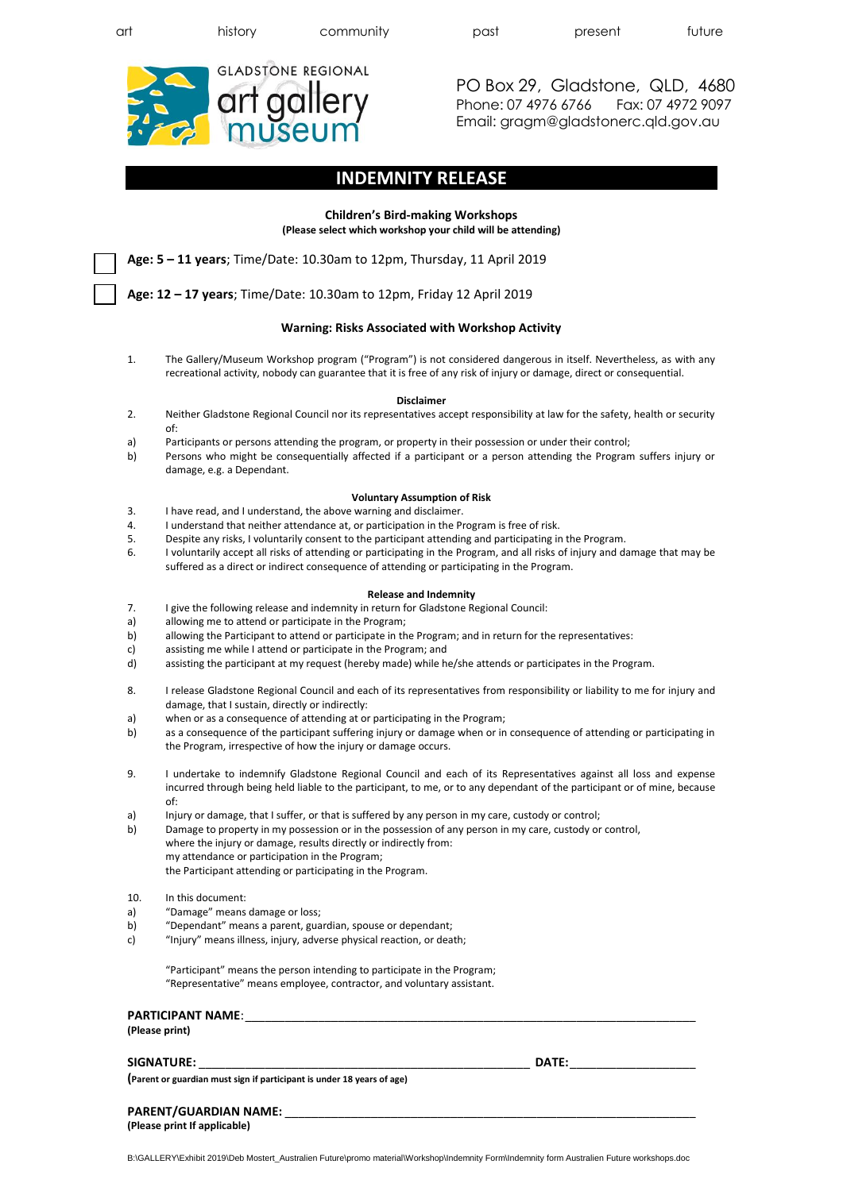

PO Box 29, Gladstone, QLD, 4680 Phone: 07 4976 6766 Fax: 07 4972 9097 Email: gragm@gladstonerc.qld.gov.au

# **INDEMNITY RELEASE**

**Children's Bird-making Workshops (Please select which workshop your child will be attending)**

**Age: 5 – 11 years**; Time/Date: 10.30am to 12pm, Thursday, 11 April 2019

**Age: 12 – 17 years**; Time/Date: 10.30am to 12pm, Friday 12 April 2019

### **Warning: Risks Associated with Workshop Activity**

1. The Gallery/Museum Workshop program ("Program") is not considered dangerous in itself. Nevertheless, as with any recreational activity, nobody can guarantee that it is free of any risk of injury or damage, direct or consequential.

#### **Disclaimer**

- 2. Neither Gladstone Regional Council nor its representatives accept responsibility at law for the safety, health or security of:
- a) Participants or persons attending the program, or property in their possession or under their control;
- b) Persons who might be consequentially affected if a participant or a person attending the Program suffers injury or damage, e.g. a Dependant.

#### **Voluntary Assumption of Risk**

- 3. I have read, and I understand, the above warning and disclaimer.
- 4. I understand that neither attendance at, or participation in the Program is free of risk.
- 5. Despite any risks, I voluntarily consent to the participant attending and participating in the Program.
- 6. I voluntarily accept all risks of attending or participating in the Program, and all risks of injury and damage that may be suffered as a direct or indirect consequence of attending or participating in the Program.

#### **Release and Indemnity**

- 7. I give the following release and indemnity in return for Gladstone Regional Council:
- a) allowing me to attend or participate in the Program;
- b) allowing the Participant to attend or participate in the Program; and in return for the representatives:
- c) assisting me while I attend or participate in the Program; and
- d) assisting the participant at my request (hereby made) while he/she attends or participates in the Program.
- 8. I release Gladstone Regional Council and each of its representatives from responsibility or liability to me for injury and damage, that I sustain, directly or indirectly:
- a) when or as a consequence of attending at or participating in the Program;
- b) as a consequence of the participant suffering injury or damage when or in consequence of attending or participating in the Program, irrespective of how the injury or damage occurs.
- 9. I undertake to indemnify Gladstone Regional Council and each of its Representatives against all loss and expense incurred through being held liable to the participant, to me, or to any dependant of the participant or of mine, because of:
- a) Injury or damage, that I suffer, or that is suffered by any person in my care, custody or control;
- b) Damage to property in my possession or in the possession of any person in my care, custody or control, where the injury or damage, results directly or indirectly from: my attendance or participation in the Program;

the Participant attending or participating in the Program.

- 10. In this document:
- a) "Damage" means damage or loss;
- b) "Dependant" means a parent, guardian, spouse or dependant;
- c) "Injury" means illness, injury, adverse physical reaction, or death;

"Participant" means the person intending to participate in the Program; "Representative" means employee, contractor, and voluntary assistant.

| <b>PARTICIPANT NAME:</b> |  |
|--------------------------|--|
| (Please print)           |  |

### **SIGNATURE:** \_\_\_\_\_\_\_\_\_\_\_\_\_\_\_\_\_\_\_\_\_\_\_\_\_\_\_\_\_\_\_\_\_\_\_\_\_\_\_\_\_\_\_\_\_\_\_\_\_\_ **DATE:**\_\_\_\_\_\_\_\_\_\_\_\_\_\_\_\_\_\_\_

**(Parent or guardian must sign if participant is under 18 years of age)**

#### PARENT/GUARDIAN NAME: **(Please print If applicable)**